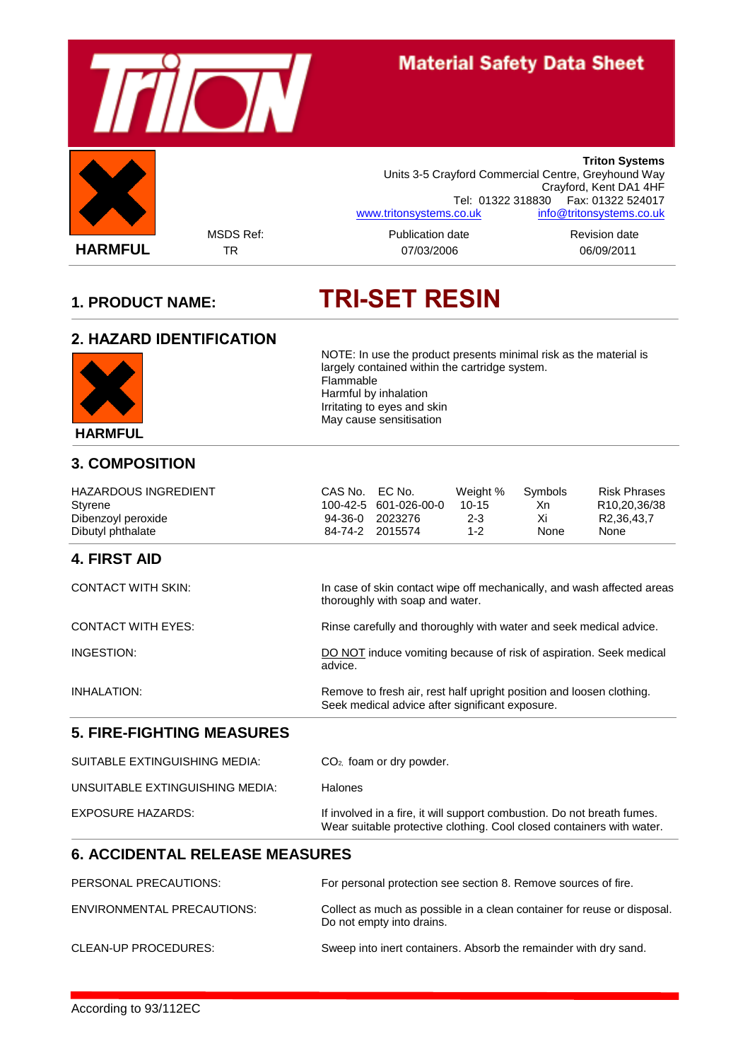

Flammable

Harmful by inhalation Irritating to eyes and skin May cause sensitisation

# **1. PRODUCT NAME: TRI-SET RESIN**

largely contained within the cartridge system.

NOTE: In use the product presents minimal risk as the material is

#### **2. HAZARD IDENTIFICATION**



#### **3. COMPOSITION**

HAZARDOUS INGREDIENT CAS No. EC No. Weight % Symbols Risk Phrases Styrene 100-42-5 601-026-00-0 10-15 Xn R10,20,36/38 Dibenzoyl peroxide 94-36-0 2023276 2-3 Xi R2,36,43,7

#### **4. FIRST AID**

| <b>CONTACT WITH SKIN:</b> | In case of skin contact wipe off mechanically, and wash affected areas<br>thoroughly with soap and water.               |
|---------------------------|-------------------------------------------------------------------------------------------------------------------------|
| <b>CONTACT WITH EYES:</b> | Rinse carefully and thoroughly with water and seek medical advice.                                                      |
| INGESTION:                | DO NOT induce vomiting because of risk of aspiration. Seek medical<br>advice.                                           |
| INHALATION:               | Remove to fresh air, rest half upright position and loosen clothing.<br>Seek medical advice after significant exposure. |

84-74-2 2015574

#### **5. FIRE-FIGHTING MEASURES**

| SUITABLE EXTINGUISHING MEDIA:   | $CO2$ foam or dry powder.                                                                                                                        |
|---------------------------------|--------------------------------------------------------------------------------------------------------------------------------------------------|
| UNSUITABLE EXTINGUISHING MEDIA: | <b>Halones</b>                                                                                                                                   |
| EXPOSURE HAZARDS:               | If involved in a fire, it will support combustion. Do not breath fumes.<br>Wear suitable protective clothing. Cool closed containers with water. |

#### **6. ACCIDENTAL RELEASE MEASURES**

| PERSONAL PRECAUTIONS:       | For personal protection see section 8. Remove sources of fire.                                       |
|-----------------------------|------------------------------------------------------------------------------------------------------|
| ENVIRONMENTAL PRECAUTIONS:  | Collect as much as possible in a clean container for reuse or disposal.<br>Do not empty into drains. |
| <b>CLEAN-UP PROCEDURES:</b> | Sweep into inert containers. Absorb the remainder with dry sand.                                     |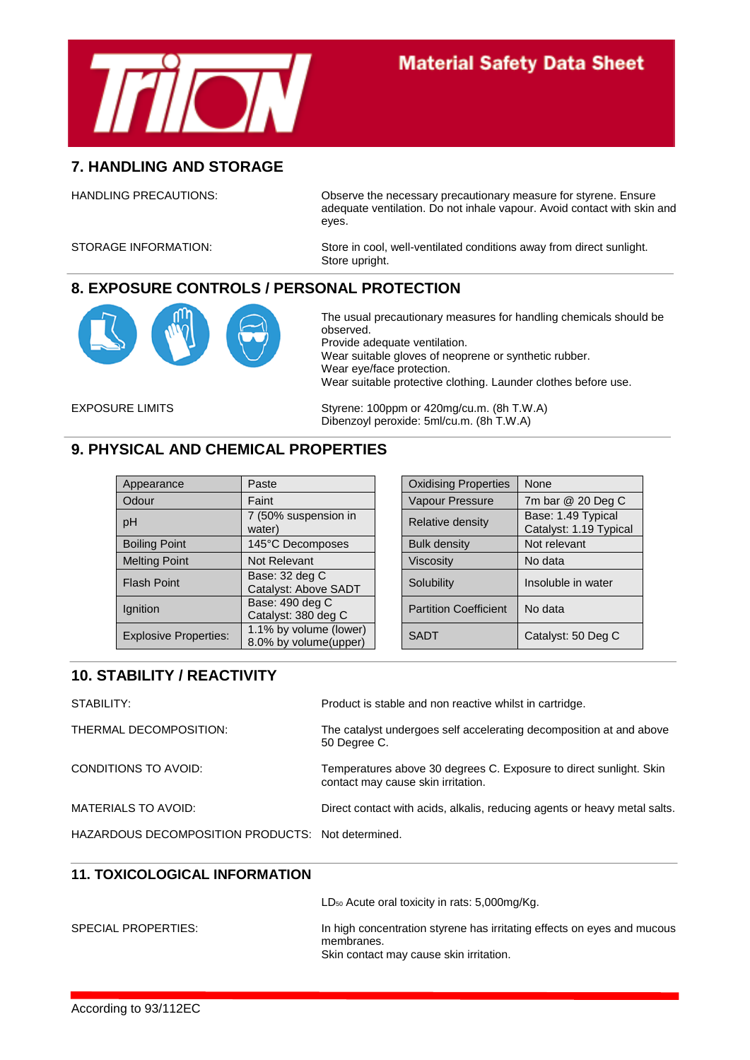

## **Material Safety Data Sheet**

#### **7. HANDLING AND STORAGE**

HANDLING PRECAUTIONS: Observe the necessary precautionary measure for styrene. Ensure adequate ventilation. Do not inhale vapour. Avoid contact with skin and eyes.

STORAGE INFORMATION: Store in cool, well-ventilated conditions away from direct sunlight. Store upright.

#### **8. EXPOSURE CONTROLS / PERSONAL PROTECTION**



The usual precautionary measures for handling chemicals should be observed. Provide adequate ventilation. Wear suitable gloves of neoprene or synthetic rubber. Wear eye/face protection. Wear suitable protective clothing. Launder clothes before use.

EXPOSURE LIMITS Styrene: 100ppm or 420mg/cu.m. (8h T.W.A) Dibenzoyl peroxide: 5ml/cu.m. (8h T.W.A)

#### **9. PHYSICAL AND CHEMICAL PROPERTIES**

| Appearance                   | Paste                                           | <b>Oxidising Properties</b>  | None                                       |
|------------------------------|-------------------------------------------------|------------------------------|--------------------------------------------|
| Odour                        | Faint                                           | Vapour Pressure              | 7m bar @ 20 Deg C                          |
| pH                           | 7 (50% suspension in<br>water)                  | Relative density             | Base: 1.49 Typical<br>Catalyst: 1.19 Typic |
| <b>Boiling Point</b>         | 145°C Decomposes                                | <b>Bulk density</b>          | Not relevant                               |
| <b>Melting Point</b>         | Not Relevant                                    | Viscosity                    | No data                                    |
| <b>Flash Point</b>           | Base: 32 deg C<br>Catalyst: Above SADT          | Solubility                   | Insoluble in water                         |
| Ignition                     | Base: 490 deg C<br>Catalyst: 380 deg C          | <b>Partition Coefficient</b> | No data                                    |
| <b>Explosive Properties:</b> | 1.1% by volume (lower)<br>8.0% by volume(upper) | <b>SADT</b>                  | Catalyst: 50 Deg C                         |

| Paste                                           | <b>Oxidising Properties</b>  | None                                         |
|-------------------------------------------------|------------------------------|----------------------------------------------|
| Faint                                           | <b>Vapour Pressure</b>       | 7m bar @ 20 Deg C                            |
| 7 (50% suspension in<br>water)                  | Relative density             | Base: 1.49 Typical<br>Catalyst: 1.19 Typical |
| 145°C Decomposes                                | <b>Bulk density</b>          | Not relevant                                 |
| Not Relevant                                    | Viscosity                    | No data                                      |
| Base: 32 deg C<br>Catalyst: Above SADT          | Solubility                   | Insoluble in water                           |
| Base: 490 deg C<br>Catalyst: 380 deg C          | <b>Partition Coefficient</b> | No data                                      |
| 1.1% by volume (lower)<br>8.0% by volume(upper) | <b>SADT</b>                  | Catalyst: 50 Deg C                           |

### **10. STABILITY / REACTIVITY**

| STABILITY:                                        | Product is stable and non reactive whilst in cartridge.                                                  |
|---------------------------------------------------|----------------------------------------------------------------------------------------------------------|
| THERMAL DECOMPOSITION:                            | The catalyst undergoes self accelerating decomposition at and above<br>50 Degree C.                      |
| CONDITIONS TO AVOID:                              | Temperatures above 30 degrees C. Exposure to direct sunlight. Skin<br>contact may cause skin irritation. |
| MATERIALS TO AVOID:                               | Direct contact with acids, alkalis, reducing agents or heavy metal salts.                                |
| HAZARDOUS DECOMPOSITION PRODUCTS: Not determined. |                                                                                                          |

#### **11. TOXICOLOGICAL INFORMATION**

LD<sub>50</sub> Acute oral toxicity in rats: 5,000mg/Kg. SPECIAL PROPERTIES: In high concentration styrene has irritating effects on eyes and mucous membranes. Skin contact may cause skin irritation.